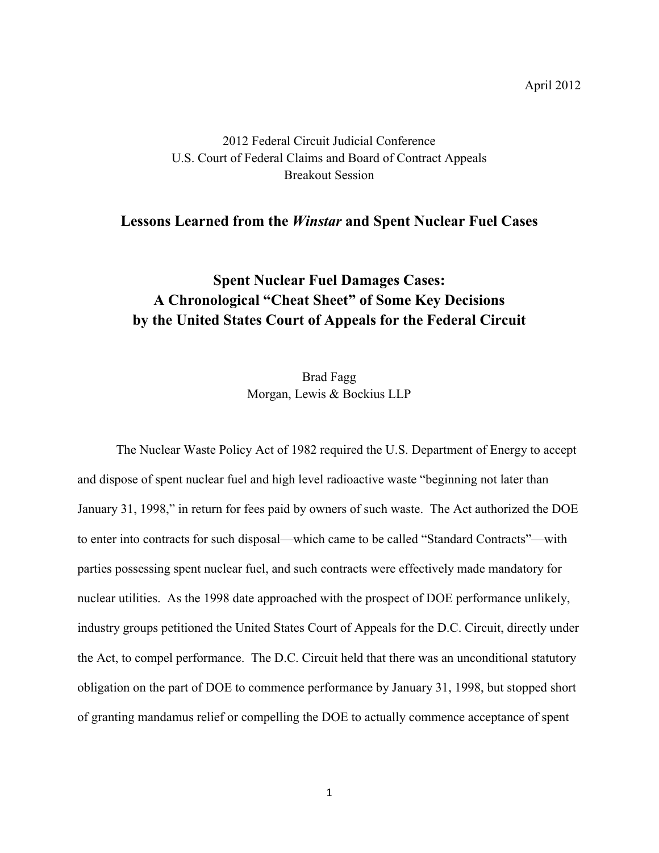## 2012 Federal Circuit Judicial Conference U.S. Court of Federal Claims and Board of Contract Appeals Breakout Session

## **Lessons Learned from the** *Winstar* **and Spent Nuclear Fuel Cases**

## **Spent Nuclear Fuel Damages Cases: A Chronological "Cheat Sheet" of Some Key Decisions by the United States Court of Appeals for the Federal Circuit**

Brad Fagg Morgan, Lewis & Bockius LLP

The Nuclear Waste Policy Act of 1982 required the U.S. Department of Energy to accept and dispose of spent nuclear fuel and high level radioactive waste "beginning not later than January 31, 1998," in return for fees paid by owners of such waste. The Act authorized the DOE to enter into contracts for such disposal—which came to be called "Standard Contracts"—with parties possessing spent nuclear fuel, and such contracts were effectively made mandatory for nuclear utilities. As the 1998 date approached with the prospect of DOE performance unlikely, industry groups petitioned the United States Court of Appeals for the D.C. Circuit, directly under the Act, to compel performance. The D.C. Circuit held that there was an unconditional statutory obligation on the part of DOE to commence performance by January 31, 1998, but stopped short of granting mandamus relief or compelling the DOE to actually commence acceptance of spent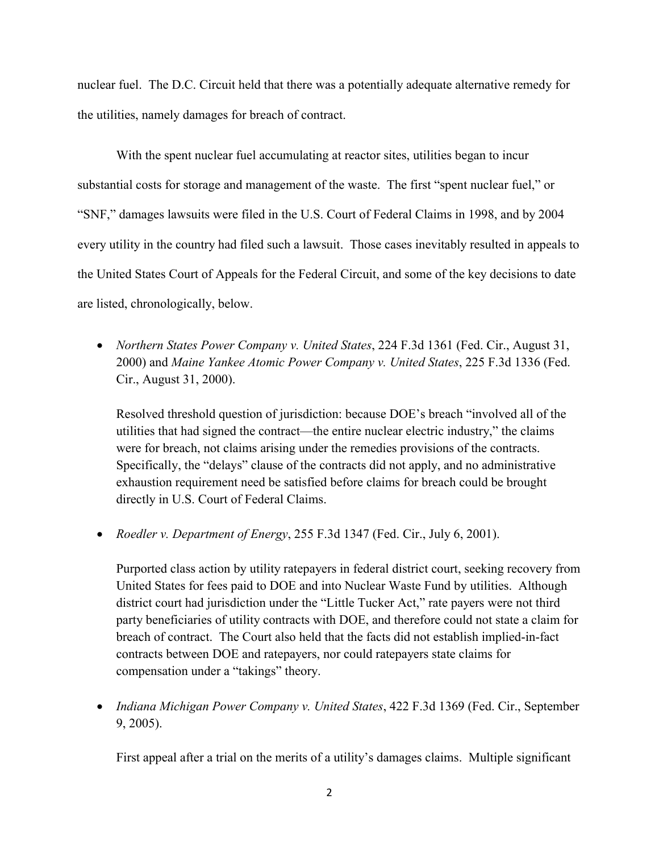nuclear fuel. The D.C. Circuit held that there was a potentially adequate alternative remedy for the utilities, namely damages for breach of contract.

With the spent nuclear fuel accumulating at reactor sites, utilities began to incur substantial costs for storage and management of the waste. The first "spent nuclear fuel," or "SNF," damages lawsuits were filed in the U.S. Court of Federal Claims in 1998, and by 2004 every utility in the country had filed such a lawsuit. Those cases inevitably resulted in appeals to the United States Court of Appeals for the Federal Circuit, and some of the key decisions to date are listed, chronologically, below.

 *Northern States Power Company v. United States*, 224 F.3d 1361 (Fed. Cir., August 31, 2000) and *Maine Yankee Atomic Power Company v. United States*, 225 F.3d 1336 (Fed. Cir., August 31, 2000).

Resolved threshold question of jurisdiction: because DOE's breach "involved all of the utilities that had signed the contract—the entire nuclear electric industry," the claims were for breach, not claims arising under the remedies provisions of the contracts. Specifically, the "delays" clause of the contracts did not apply, and no administrative exhaustion requirement need be satisfied before claims for breach could be brought directly in U.S. Court of Federal Claims.

*Roedler v. Department of Energy*, 255 F.3d 1347 (Fed. Cir., July 6, 2001).

Purported class action by utility ratepayers in federal district court, seeking recovery from United States for fees paid to DOE and into Nuclear Waste Fund by utilities. Although district court had jurisdiction under the "Little Tucker Act," rate payers were not third party beneficiaries of utility contracts with DOE, and therefore could not state a claim for breach of contract. The Court also held that the facts did not establish implied-in-fact contracts between DOE and ratepayers, nor could ratepayers state claims for compensation under a "takings" theory.

 *Indiana Michigan Power Company v. United States*, 422 F.3d 1369 (Fed. Cir., September 9, 2005).

First appeal after a trial on the merits of a utility's damages claims. Multiple significant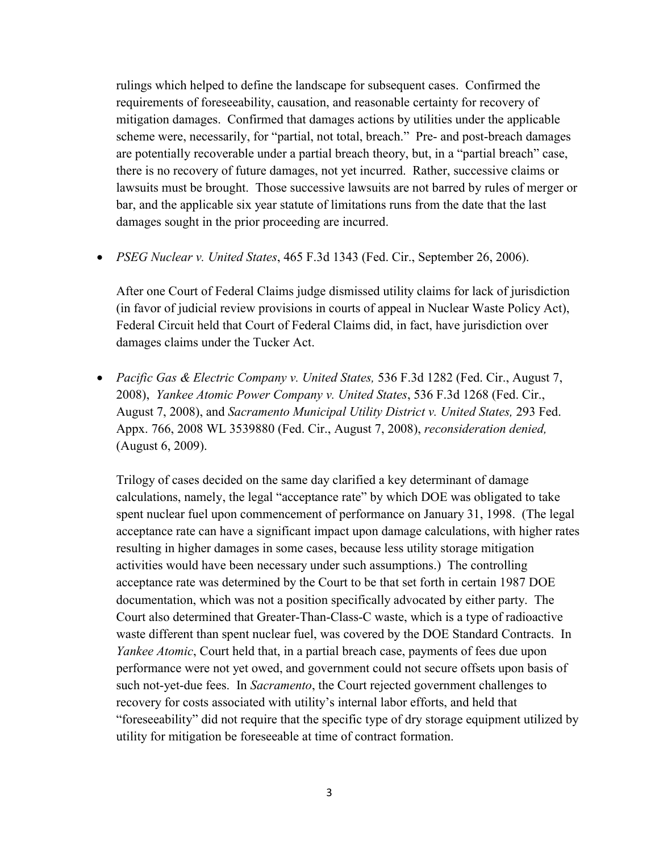rulings which helped to define the landscape for subsequent cases. Confirmed the requirements of foreseeability, causation, and reasonable certainty for recovery of mitigation damages. Confirmed that damages actions by utilities under the applicable scheme were, necessarily, for "partial, not total, breach." Pre- and post-breach damages are potentially recoverable under a partial breach theory, but, in a "partial breach" case, there is no recovery of future damages, not yet incurred. Rather, successive claims or lawsuits must be brought. Those successive lawsuits are not barred by rules of merger or bar, and the applicable six year statute of limitations runs from the date that the last damages sought in the prior proceeding are incurred.

*PSEG Nuclear v. United States*, 465 F.3d 1343 (Fed. Cir., September 26, 2006).

After one Court of Federal Claims judge dismissed utility claims for lack of jurisdiction (in favor of judicial review provisions in courts of appeal in Nuclear Waste Policy Act), Federal Circuit held that Court of Federal Claims did, in fact, have jurisdiction over damages claims under the Tucker Act.

 *Pacific Gas & Electric Company v. United States,* 536 F.3d 1282 (Fed. Cir., August 7, 2008), *Yankee Atomic Power Company v. United States*, 536 F.3d 1268 (Fed. Cir., August 7, 2008), and *Sacramento Municipal Utility District v. United States,* 293 Fed. Appx. 766, 2008 WL 3539880 (Fed. Cir., August 7, 2008), *reconsideration denied,*  (August 6, 2009).

Trilogy of cases decided on the same day clarified a key determinant of damage calculations, namely, the legal "acceptance rate" by which DOE was obligated to take spent nuclear fuel upon commencement of performance on January 31, 1998. (The legal acceptance rate can have a significant impact upon damage calculations, with higher rates resulting in higher damages in some cases, because less utility storage mitigation activities would have been necessary under such assumptions.) The controlling acceptance rate was determined by the Court to be that set forth in certain 1987 DOE documentation, which was not a position specifically advocated by either party. The Court also determined that Greater-Than-Class-C waste, which is a type of radioactive waste different than spent nuclear fuel, was covered by the DOE Standard Contracts. In *Yankee Atomic*, Court held that, in a partial breach case, payments of fees due upon performance were not yet owed, and government could not secure offsets upon basis of such not-yet-due fees. In *Sacramento*, the Court rejected government challenges to recovery for costs associated with utility's internal labor efforts, and held that "foreseeability" did not require that the specific type of dry storage equipment utilized by utility for mitigation be foreseeable at time of contract formation.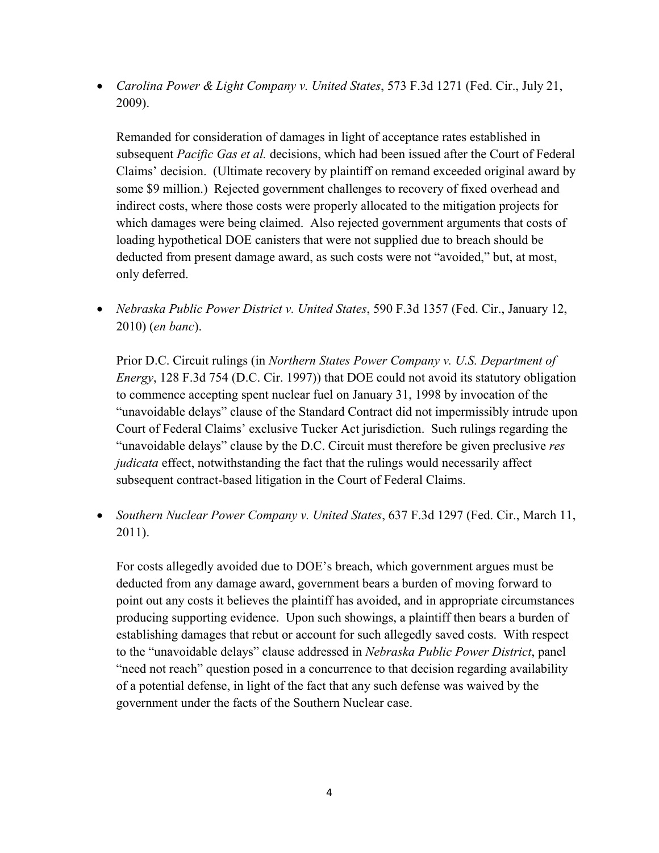*Carolina Power & Light Company v. United States*, 573 F.3d 1271 (Fed. Cir., July 21, 2009).

Remanded for consideration of damages in light of acceptance rates established in subsequent *Pacific Gas et al.* decisions, which had been issued after the Court of Federal Claims' decision. (Ultimate recovery by plaintiff on remand exceeded original award by some \$9 million.) Rejected government challenges to recovery of fixed overhead and indirect costs, where those costs were properly allocated to the mitigation projects for which damages were being claimed. Also rejected government arguments that costs of loading hypothetical DOE canisters that were not supplied due to breach should be deducted from present damage award, as such costs were not "avoided," but, at most, only deferred.

 *Nebraska Public Power District v. United States*, 590 F.3d 1357 (Fed. Cir., January 12, 2010) (*en banc*).

Prior D.C. Circuit rulings (in *Northern States Power Company v. U.S. Department of Energy*, 128 F.3d 754 (D.C. Cir. 1997)) that DOE could not avoid its statutory obligation to commence accepting spent nuclear fuel on January 31, 1998 by invocation of the "unavoidable delays" clause of the Standard Contract did not impermissibly intrude upon Court of Federal Claims' exclusive Tucker Act jurisdiction. Such rulings regarding the "unavoidable delays" clause by the D.C. Circuit must therefore be given preclusive *res judicata* effect, notwithstanding the fact that the rulings would necessarily affect subsequent contract-based litigation in the Court of Federal Claims.

 *Southern Nuclear Power Company v. United States*, 637 F.3d 1297 (Fed. Cir., March 11, 2011).

For costs allegedly avoided due to DOE's breach, which government argues must be deducted from any damage award, government bears a burden of moving forward to point out any costs it believes the plaintiff has avoided, and in appropriate circumstances producing supporting evidence. Upon such showings, a plaintiff then bears a burden of establishing damages that rebut or account for such allegedly saved costs. With respect to the "unavoidable delays" clause addressed in *Nebraska Public Power District*, panel "need not reach" question posed in a concurrence to that decision regarding availability of a potential defense, in light of the fact that any such defense was waived by the government under the facts of the Southern Nuclear case.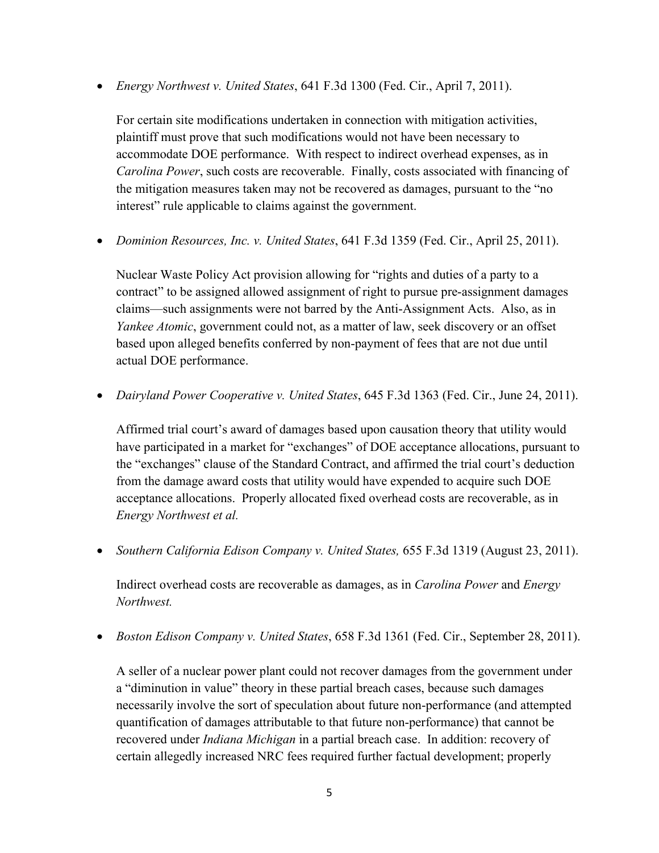*Energy Northwest v. United States*, 641 F.3d 1300 (Fed. Cir., April 7, 2011).

For certain site modifications undertaken in connection with mitigation activities, plaintiff must prove that such modifications would not have been necessary to accommodate DOE performance. With respect to indirect overhead expenses, as in *Carolina Power*, such costs are recoverable. Finally, costs associated with financing of the mitigation measures taken may not be recovered as damages, pursuant to the "no interest" rule applicable to claims against the government.

*Dominion Resources, Inc. v. United States*, 641 F.3d 1359 (Fed. Cir., April 25, 2011).

Nuclear Waste Policy Act provision allowing for "rights and duties of a party to a contract" to be assigned allowed assignment of right to pursue pre-assignment damages claims—such assignments were not barred by the Anti-Assignment Acts. Also, as in *Yankee Atomic*, government could not, as a matter of law, seek discovery or an offset based upon alleged benefits conferred by non-payment of fees that are not due until actual DOE performance.

*Dairyland Power Cooperative v. United States*, 645 F.3d 1363 (Fed. Cir., June 24, 2011).

Affirmed trial court's award of damages based upon causation theory that utility would have participated in a market for "exchanges" of DOE acceptance allocations, pursuant to the "exchanges" clause of the Standard Contract, and affirmed the trial court's deduction from the damage award costs that utility would have expended to acquire such DOE acceptance allocations. Properly allocated fixed overhead costs are recoverable, as in *Energy Northwest et al.*

*Southern California Edison Company v. United States,* 655 F.3d 1319 (August 23, 2011).

Indirect overhead costs are recoverable as damages, as in *Carolina Power* and *Energy Northwest.*

*Boston Edison Company v. United States*, 658 F.3d 1361 (Fed. Cir., September 28, 2011).

A seller of a nuclear power plant could not recover damages from the government under a "diminution in value" theory in these partial breach cases, because such damages necessarily involve the sort of speculation about future non-performance (and attempted quantification of damages attributable to that future non-performance) that cannot be recovered under *Indiana Michigan* in a partial breach case. In addition: recovery of certain allegedly increased NRC fees required further factual development; properly